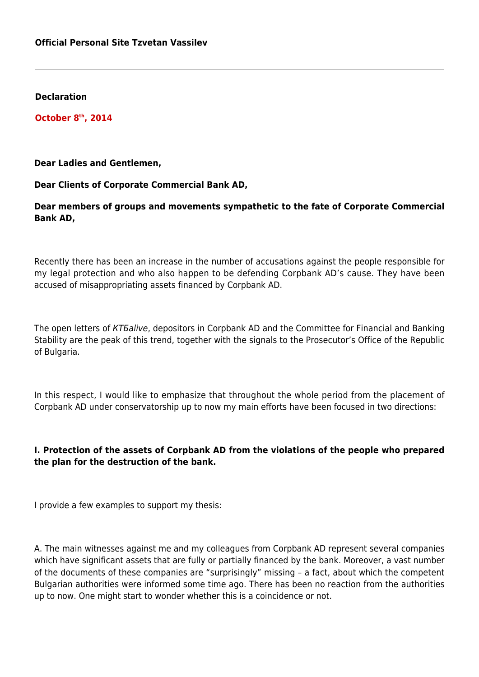#### **Declaration**

**October 8th, 2014**

### **Dear Ladies and Gentlemen,**

### **Dear Clients of Corporate Commercial Bank AD,**

## **Dear members of groups and movements sympathetic to the fate of Corporate Commercial Bank AD,**

Recently there has been an increase in the number of accusations against the people responsible for my legal protection and who also happen to be defending Corpbank AD's cause. They have been accused of misappropriating assets financed by Corpbank AD.

The open letters of KT5alive, depositors in Corpbank AD and the Committee for Financial and Banking Stability are the peak of this trend, together with the signals to the Prosecutor's Office of the Republic of Bulgaria.

In this respect, I would like to emphasize that throughout the whole period from the placement of Corpbank AD under conservatorship up to now my main efforts have been focused in two directions:

# **I. Protection of the assets of Corpbank AD from the violations of the people who prepared the plan for the destruction of the bank.**

I provide a few examples to support my thesis:

A. The main witnesses against me and my colleagues from Corpbank AD represent several companies which have significant assets that are fully or partially financed by the bank. Moreover, a vast number of the documents of these companies are "surprisingly" missing – a fact, about which the competent Bulgarian authorities were informed some time ago. There has been no reaction from the authorities up to now. One might start to wonder whether this is a coincidence or not.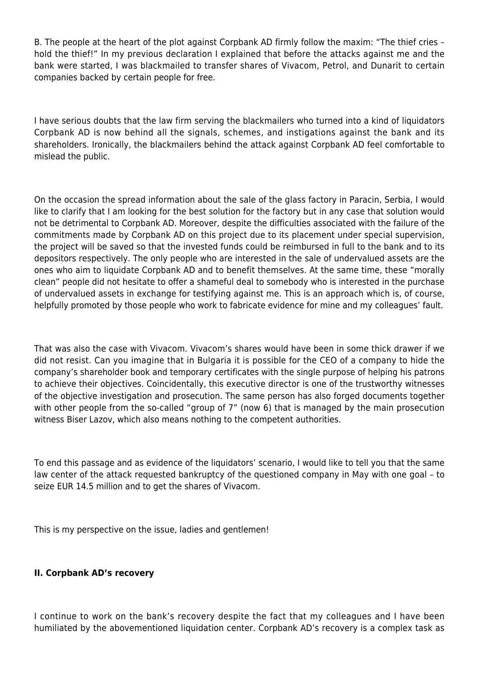B. The people at the heart of the plot against Corpbank AD firmly follow the maxim: "The thief cries – hold the thief!" In my previous declaration I explained that before the attacks against me and the bank were started, I was blackmailed to transfer shares of Vivacom, Petrol, and Dunarit to certain companies backed by certain people for free.

I have serious doubts that the law firm serving the blackmailers who turned into a kind of liquidators Corpbank AD is now behind all the signals, schemes, and instigations against the bank and its shareholders. Ironically, the blackmailers behind the attack against Corpbank AD feel comfortable to mislead the public.

On the occasion the spread information about the sale of the glass factory in Paracin, Serbia, I would like to clarify that I am looking for the best solution for the factory but in any case that solution would not be detrimental to Corpbank AD. Moreover, despite the difficulties associated with the failure of the commitments made by Corpbank AD on this project due to its placement under special supervision, the project will be saved so that the invested funds could be reimbursed in full to the bank and to its depositors respectively. The only people who are interested in the sale of undervalued assets are the ones who aim to liquidate Corpbank AD and to benefit themselves. At the same time, these "morally clean" people did not hesitate to offer a shameful deal to somebody who is interested in the purchase of undervalued assets in exchange for testifying against me. This is an approach which is, of course, helpfully promoted by those people who work to fabricate evidence for mine and my colleagues' fault.

That was also the case with Vivacom. Vivacom's shares would have been in some thick drawer if we did not resist. Can you imagine that in Bulgaria it is possible for the CEO of a company to hide the company's shareholder book and temporary certificates with the single purpose of helping his patrons to achieve their objectives. Coincidentally, this executive director is one of the trustworthy witnesses of the objective investigation and prosecution. The same person has also forged documents together with other people from the so-called "group of 7" (now 6) that is managed by the main prosecution witness Biser Lazov, which also means nothing to the competent authorities.

To end this passage and as evidence of the liquidators' scenario, I would like to tell you that the same law center of the attack requested bankruptcy of the questioned company in May with one goal – to seize EUR 14.5 million and to get the shares of Vivacom.

This is my perspective on the issue, ladies and gentlemen!

### **II. Corpbank AD's recovery**

I continue to work on the bank's recovery despite the fact that my colleagues and I have been humiliated by the abovementioned liquidation center. Corpbank AD's recovery is a complex task as